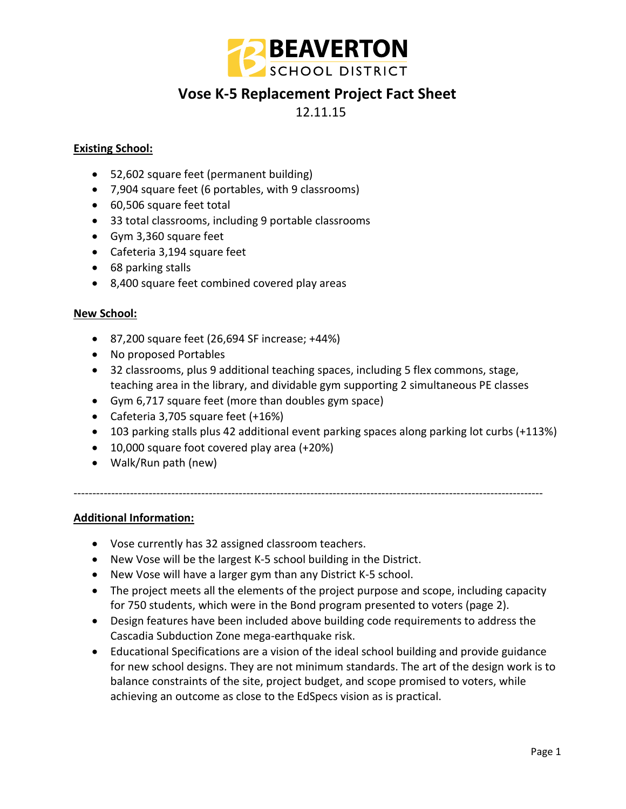

## **Vose K-5 Replacement Project Fact Sheet**

12.11.15

### **Existing School:**

- 52,602 square feet (permanent building)
- 7,904 square feet (6 portables, with 9 classrooms)
- 60,506 square feet total
- 33 total classrooms, including 9 portable classrooms
- Gym 3,360 square feet
- Cafeteria 3,194 square feet
- 68 parking stalls
- 8,400 square feet combined covered play areas

### **New School:**

- 87,200 square feet (26,694 SF increase; +44%)
- No proposed Portables
- 32 classrooms, plus 9 additional teaching spaces, including 5 flex commons, stage, teaching area in the library, and dividable gym supporting 2 simultaneous PE classes

-----------------------------------------------------------------------------------------------------------------------------

- Gym 6,717 square feet (more than doubles gym space)
- Cafeteria 3,705 square feet (+16%)
- 103 parking stalls plus 42 additional event parking spaces along parking lot curbs (+113%)
- 10,000 square foot covered play area (+20%)
- Walk/Run path (new)

**Additional Information:**

- Vose currently has 32 assigned classroom teachers.
- New Vose will be the largest K-5 school building in the District.
- New Vose will have a larger gym than any District K-5 school.
- The project meets all the elements of the project purpose and scope, including capacity for 750 students, which were in the Bond program presented to voters (page 2).
- Design features have been included above building code requirements to address the Cascadia Subduction Zone mega-earthquake risk.
- Educational Specifications are a vision of the ideal school building and provide guidance for new school designs. They are not minimum standards. The art of the design work is to balance constraints of the site, project budget, and scope promised to voters, while achieving an outcome as close to the EdSpecs vision as is practical.